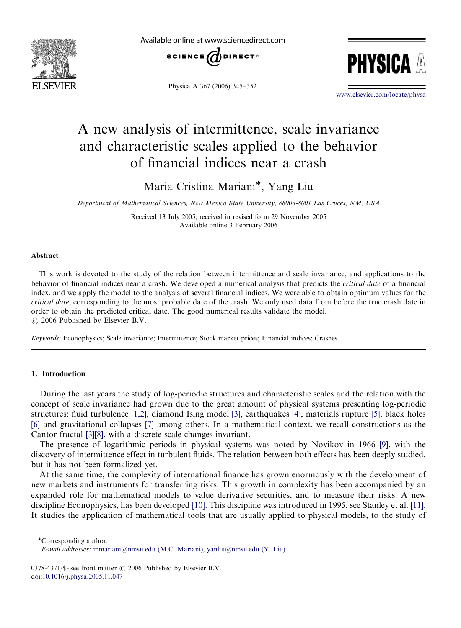

Available online at www.sciencedirect.com



Physica A 367 (2006) 345–352



<www.elsevier.com/locate/physa>

# A new analysis of intermittence, scale invariance and characteristic scales applied to the behavior of financial indices near a crash

Maria Cristina Mariani\*, Yang Liu

Department of Mathematical Sciences, New Mexico State University, 88003-8001 Las Cruces, NM, USA

Received 13 July 2005; received in revised form 29 November 2005 Available online 3 February 2006

#### Abstract

This work is devoted to the study of the relation between intermittence and scale invariance, and applications to the behavior of financial indices near a crash. We developed a numerical analysis that predicts the critical date of a financial index, and we apply the model to the analysis of several financial indices. We were able to obtain optimum values for the critical date, corresponding to the most probable date of the crash. We only used data from before the true crash date in order to obtain the predicted critical date. The good numerical results validate the model.  $\odot$  2006 Published by Elsevier B.V.

Keywords: Econophysics; Scale invariance; Intermittence; Stock market prices; Financial indices; Crashes

## 1. Introduction

During the last years the study of log-periodic structures and characteristic scales and the relation with the concept of scale invariance had grown due to the great amount of physical systems presenting log-periodic structures: fluid turbulence [\[1,2\]](#page--1-0), diamond Ising model [\[3\]](#page--1-0), earthquakes [\[4\]](#page--1-0), materials rupture [\[5\]](#page--1-0), black holes [\[6\]](#page--1-0) and gravitational collapses [\[7\]](#page--1-0) among others. In a mathematical context, we recall constructions as the Cantor fractal [\[3\]\[8\]](#page--1-0), with a discrete scale changes invariant.

The presence of logarithmic periods in physical systems was noted by Novikov in 1966 [\[9\],](#page--1-0) with the discovery of intermittence effect in turbulent fluids. The relation between both effects has been deeply studied, but it has not been formalized yet.

At the same time, the complexity of international finance has grown enormously with the development of new markets and instruments for transferring risks. This growth in complexity has been accompanied by an expanded role for mathematical models to value derivative securities, and to measure their risks. A new discipline Econophysics, has been developed [\[10\]](#page--1-0). This discipline was introduced in 1995, see Stanley et al. [\[11\]](#page--1-0). It studies the application of mathematical tools that are usually applied to physical models, to the study of

Corresponding author.

E-mail addresses: [mmariani@nmsu.edu \(M.C. Mariani\),](mailto:yanliu@nmsu.edu) yanliu@nmsu.edu (Y. Liu).

<sup>0378-4371/\$ -</sup> see front matter  $\odot$  2006 Published by Elsevier B.V. doi:[10.1016/j.physa.2005.11.047](dx.doi.org/10.1016/j.physa.2005.11.047)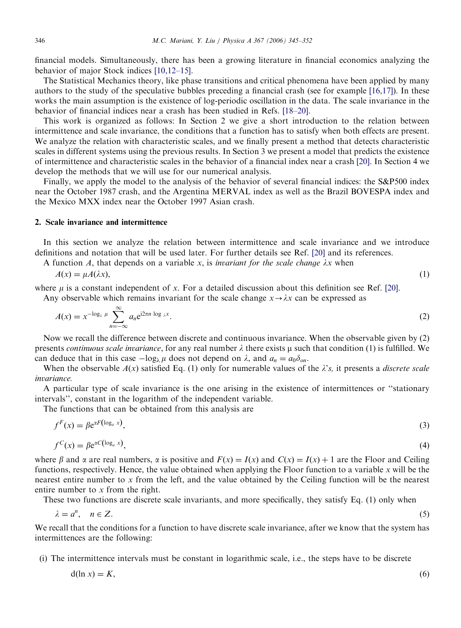financial models. Simultaneously, there has been a growing literature in financial economics analyzing the behavior of major Stock indices [\[10,12–15\].](#page--1-0)

The Statistical Mechanics theory, like phase transitions and critical phenomena have been applied by many authors to the study of the speculative bubbles preceding a financial crash (see for example [\[16,17\]](#page--1-0)). In these works the main assumption is the existence of log-periodic oscillation in the data. The scale invariance in the behavior of financial indices near a crash has been studied in Refs. [\[18–20\]](#page--1-0).

This work is organized as follows: In Section 2 we give a short introduction to the relation between intermittence and scale invariance, the conditions that a function has to satisfy when both effects are present. We analyze the relation with characteristic scales, and we finally present a method that detects characteristic scales in different systems using the previous results. In Section 3 we present a model that predicts the existence of intermittence and characteristic scales in the behavior of a financial index near a crash [\[20\].](#page--1-0) In Section 4 we develop the methods that we will use for our numerical analysis.

Finally, we apply the model to the analysis of the behavior of several financial indices: the S&P500 index near the October 1987 crash, and the Argentina MERVAL index as well as the Brazil BOVESPA index and the Mexico MXX index near the October 1997 Asian crash.

### 2. Scale invariance and intermittence

In this section we analyze the relation between intermittence and scale invariance and we introduce definitions and notation that will be used later. For further details see Ref. [\[20\]](#page--1-0) and its references.

A function A, that depends on a variable x, is *invariant for the scale change*  $\lambda x$  when

$$
A(x) = \mu A(\lambda x),\tag{1}
$$

where  $\mu$  is a constant independent of x. For a detailed discussion about this definition see Ref. [\[20\]](#page--1-0). Any observable which remains invariant for the scale change  $x \rightarrow \lambda x$  can be expressed as

$$
A(x) = x^{-\log_{\lambda} \mu} \sum_{n=-\infty}^{\infty} a_n e^{i2\pi n \log_{\lambda} x}.
$$
 (2)

Now we recall the difference between discrete and continuous invariance. When the observable given by (2) presents *continuous scale invariance*, for any real number  $\lambda$  there exists  $\mu$  such that condition (1) is fulfilled. We can deduce that in this case  $-\log_{\lambda} \mu$  does not depend on  $\lambda$ , and  $a_n = a_0 \delta_{on}$ .

When the observable  $A(x)$  satisfied Eq. (1) only for numerable values of the  $\lambda's$ , it presents a discrete scale invariance.

A particular type of scale invariance is the one arising in the existence of intermittences or ''stationary intervals'', constant in the logarithm of the independent variable.

The functions that can be obtained from this analysis are

$$
f^{F}(x) = \beta e^{\alpha F(\log_{a} x)},
$$
  
\n
$$
f^{C}(x) = \beta e^{\alpha C(\log_{a} x)},
$$
\n(3)

where  $\beta$  and  $\alpha$  are real numbers,  $\alpha$  is positive and  $F(x) = I(x)$  and  $C(x) = I(x) + 1$  are the Floor and Ceiling functions, respectively. Hence, the value obtained when applying the Floor function to a variable  $x$  will be the nearest entire number to x from the left, and the value obtained by the Ceiling function will be the nearest entire number to x from the right.

These two functions are discrete scale invariants, and more specifically, they satisfy Eq. (1) only when

$$
\lambda = a^n, \quad n \in \mathbb{Z}.\tag{5}
$$

We recall that the conditions for a function to have discrete scale invariance, after we know that the system has intermittences are the following:

(i) The intermittence intervals must be constant in logarithmic scale, i.e., the steps have to be discrete

$$
d(\ln x) = K,\tag{6}
$$